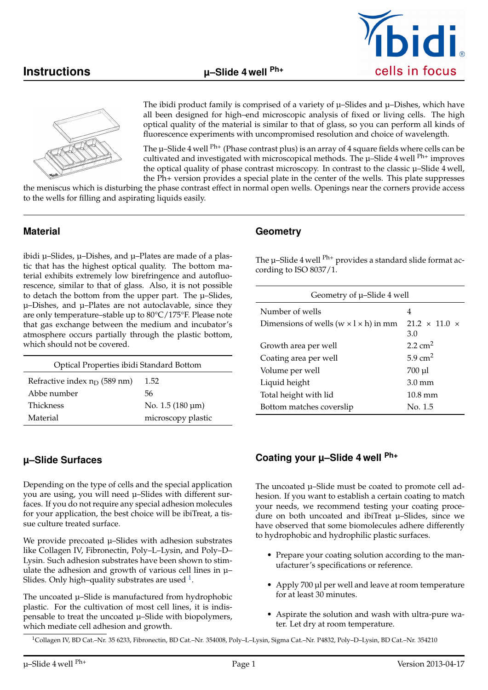



The ibidi product family is comprised of a variety of  $\mu$ –Slides and  $\mu$ –Dishes, which have all been designed for high–end microscopic analysis of fixed or living cells. The high optical quality of the material is similar to that of glass, so you can perform all kinds of fluorescence experiments with uncompromised resolution and choice of wavelength.

The  $\mu$ –Slide 4 well <sup>Ph+</sup> (Phase contrast plus) is an array of 4 square fields where cells can be cultivated and investigated with microscopical methods. The  $\mu$ –Slide 4 well <sup>Ph+</sup> improves the optical quality of phase contrast microscopy. In contrast to the classic  $\mu$ -Slide 4 well, the Ph+ version provides a special plate in the center of the wells. This plate suppresses

the meniscus which is disturbing the phase contrast effect in normal open wells. Openings near the corners provide access to the wells for filling and aspirating liquids easily.

#### **Material**

ibidi µ–Slides, µ–Dishes, and µ–Plates are made of a plastic that has the highest optical quality. The bottom material exhibits extremely low birefringence and autofluorescence, similar to that of glass. Also, it is not possible to detach the bottom from the upper part. The  $\mu$ -Slides, µ–Dishes, and µ–Plates are not autoclavable, since they are only temperature–stable up to 80°C/175°F. Please note that gas exchange between the medium and incubator's atmosphere occurs partially through the plastic bottom, which should not be covered.

|                                 | Optical Properties ibidi Standard Bottom |  |
|---------------------------------|------------------------------------------|--|
| Refractive index $n_D$ (589 nm) | 1.52                                     |  |
| Abbe number                     | 56                                       |  |
| Thickness                       | No. $1.5(180 \,\mathrm{\upmu m})$        |  |
| Material                        | microscopy plastic                       |  |

# **µ–Slide Surfaces**

Depending on the type of cells and the special application you are using, you will need µ–Slides with different surfaces. If you do not require any special adhesion molecules for your application, the best choice will be ibiTreat, a tissue culture treated surface.

We provide precoated  $\mu$ –Slides with adhesion substrates like Collagen IV, Fibronectin, Poly–L–Lysin, and Poly–D– Lysin. Such adhesion substrates have been shown to stimulate the adhesion and growth of various cell lines in µ– Slides. Only high–quality substrates are used  $^1$  $^1$ .

The uncoated  $\mu$ -Slide is manufactured from hydrophobic plastic. For the cultivation of most cell lines, it is indispensable to treat the uncoated µ–Slide with biopolymers, which mediate cell adhesion and growth.

#### **Geometry**

The  $\mu$ -Slide 4 well  $\rm ^{Ph+}$  provides a standard slide format according to ISO 8037/1.

| Geometry of $\mu$ –Slide 4 well                     |                                  |
|-----------------------------------------------------|----------------------------------|
| Number of wells                                     | 4                                |
| Dimensions of wells ( $w \times l \times h$ ) in mm | $21.2 \times 11.0 \times$<br>3.0 |
| Growth area per well                                | $2.2 \text{ cm}^2$               |
| Coating area per well                               | $5.9 \text{ cm}^2$               |
| Volume per well                                     | 700 µl                           |
| Liquid height                                       | $3.0 \text{ mm}$                 |
| Total height with lid                               | $10.8 \text{ mm}$                |
| Bottom matches coverslip                            | No. 1.5                          |

#### **Coating your µ–Slide 4 well Ph+**

The uncoated  $\mu$ -Slide must be coated to promote cell adhesion. If you want to establish a certain coating to match your needs, we recommend testing your coating procedure on both uncoated and ibiTreat µ–Slides, since we have observed that some biomolecules adhere differently to hydrophobic and hydrophilic plastic surfaces.

- Prepare your coating solution according to the manufacturer's specifications or reference.
- Apply 700 µl per well and leave at room temperature for at least 30 minutes.
- Aspirate the solution and wash with ultra-pure water. Let dry at room temperature.

<span id="page-0-0"></span><sup>1</sup>Collagen IV, BD Cat.–Nr. 35 6233, Fibronectin, BD Cat.–Nr. 354008, Poly–L–Lysin, Sigma Cat.–Nr. P4832, Poly–D–Lysin, BD Cat.–Nr. 354210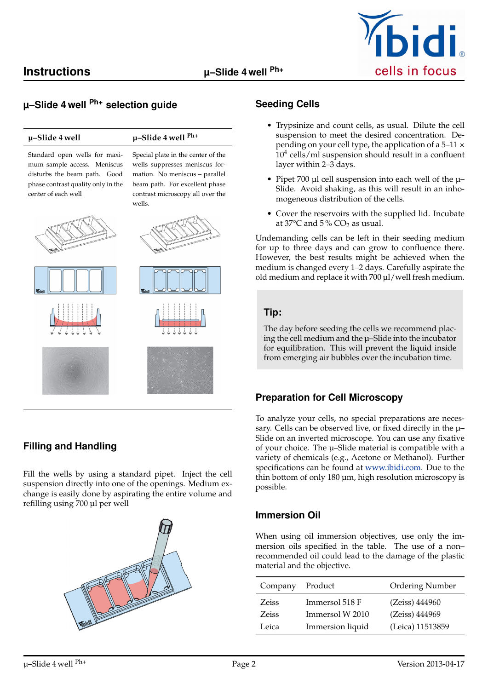

# **µ–Slide 4 well Ph+ selection guide**

# **µ–Slide 4 well µ–Slide 4 well Ph+**

Special plate in the center of the wells suppresses meniscus formation. No meniscus – parallel beam path. For excellent phase contrast microscopy all over the

Standard open wells for maximum sample access. Meniscus disturbs the beam path. Good phase contrast quality only in the center of each well



# **Filling and Handling**

Fill the wells by using a standard pipet. Inject the cell suspension directly into one of the openings. Medium exchange is easily done by aspirating the entire volume and refilling using 700 µl per well



#### **Seeding Cells**

- Trypsinize and count cells, as usual. Dilute the cell suspension to meet the desired concentration. Depending on your cell type, the application of a  $5-11 \times$ 10<sup>4</sup> cells/ml suspension should result in a confluent layer within 2–3 days.
- Pipet 700 µl cell suspension into each well of the µ– Slide. Avoid shaking, as this will result in an inhomogeneous distribution of the cells.
- Cover the reservoirs with the supplied lid. Incubate at  $37^{\circ}$ C and  $5\%$  CO<sub>2</sub> as usual.

Undemanding cells can be left in their seeding medium for up to three days and can grow to confluence there. However, the best results might be achieved when the medium is changed every 1–2 days. Carefully aspirate the old medium and replace it with 700 µl/well fresh medium.

#### **Tip:**

The day before seeding the cells we recommend placing the cell medium and the µ–Slide into the incubator for equilibration. This will prevent the liquid inside from emerging air bubbles over the incubation time.

#### **Preparation for Cell Microscopy**

To analyze your cells, no special preparations are necessary. Cells can be observed live, or fixed directly in the µ– Slide on an inverted microscope. You can use any fixative of your choice. The µ–Slide material is compatible with a variety of chemicals (e.g., Acetone or Methanol). Further specifications can be found at [www.ibidi.com.](http://www.ibidi.com) Due to the thin bottom of only 180 µm, high resolution microscopy is possible.

#### **Immersion Oil**

When using oil immersion objectives, use only the immersion oils specified in the table. The use of a non– recommended oil could lead to the damage of the plastic material and the objective.

| Company      | Product          | Ordering Number  |
|--------------|------------------|------------------|
| <b>Zeiss</b> | Immersol 518 F   | (Zeiss) 444960   |
| <b>Zeiss</b> | Immersol W 2010  | (Zeiss) 444969   |
| Leica        | Immersion liquid | (Leica) 11513859 |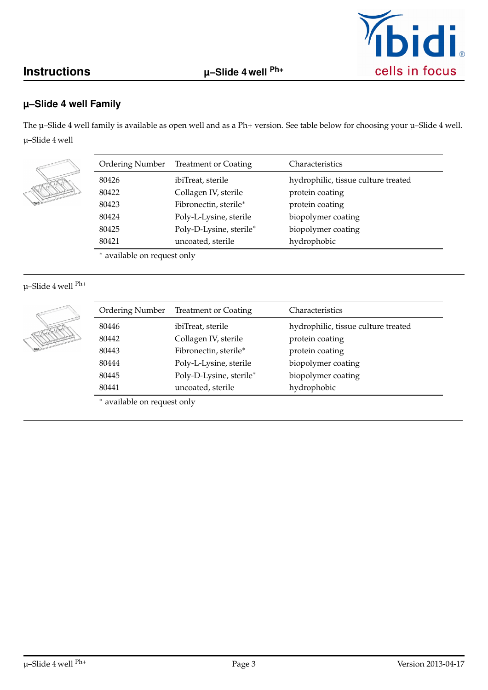# **Instructions µ–Slide 4 well Ph+**



## **µ–Slide 4 well Family**

The  $\mu$ –Slide 4 well family is available as open well and as a Ph+ version. See table below for choosing your  $\mu$ –Slide 4 well. µ–Slide 4 well

| <b>Ordering Number</b> | <b>Treatment or Coating</b> | Characteristics                     |
|------------------------|-----------------------------|-------------------------------------|
| 80426                  | ibiTreat, sterile           | hydrophilic, tissue culture treated |
| 80422                  | Collagen IV, sterile        | protein coating                     |
| 80423                  | Fibronectin, sterile*       | protein coating                     |
| 80424                  | Poly-L-Lysine, sterile      | biopolymer coating                  |
| 80425                  | Poly-D-Lysine, sterile*     | biopolymer coating                  |
| 80421                  | uncoated, sterile           | hydrophobic                         |
| $\cdots$               |                             |                                     |

<sup>∗</sup> available on request only

# µ–Slide 4 well Ph+

| <b>Ordering Number</b> | <b>Treatment or Coating</b> | Characteristics                     |
|------------------------|-----------------------------|-------------------------------------|
| 80446                  | ibiTreat, sterile           | hydrophilic, tissue culture treated |
| 80442                  | Collagen IV, sterile        | protein coating                     |
| 80443                  | Fibronectin, sterile*       | protein coating                     |
| 80444                  | Poly-L-Lysine, sterile      | biopolymer coating                  |
| 80445                  | Poly-D-Lysine, sterile*     | biopolymer coating                  |
| 80441                  | uncoated, sterile           | hydrophobic                         |